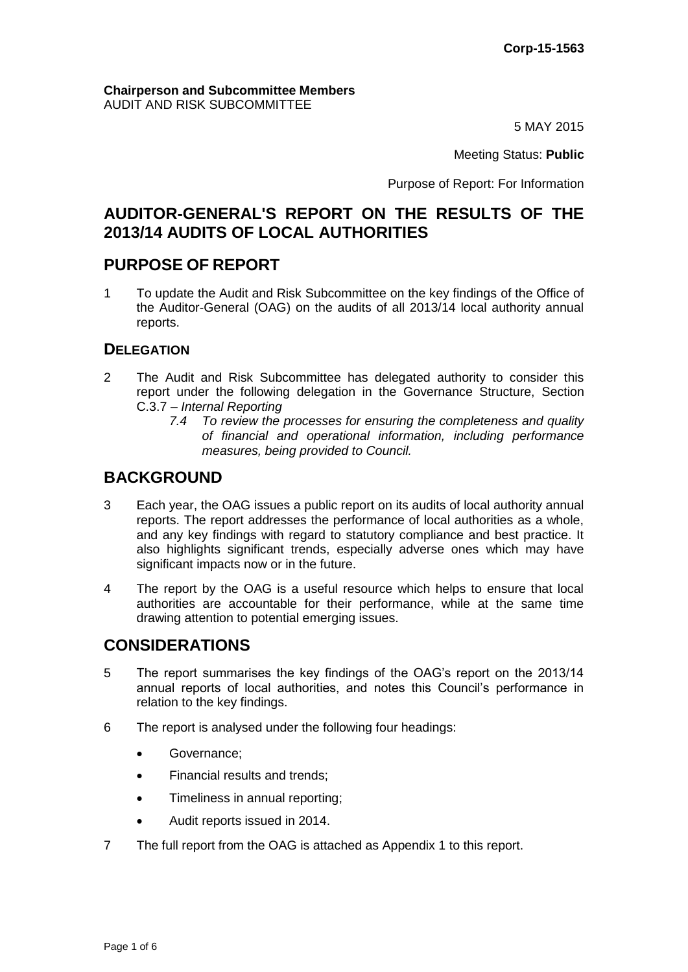#### **Chairperson and Subcommittee Members** AUDIT AND RISK SUBCOMMITTEE

5 MAY 2015

Meeting Status: **Public**

Purpose of Report: For Information

# **AUDITOR-GENERAL'S REPORT ON THE RESULTS OF THE 2013/14 AUDITS OF LOCAL AUTHORITIES**

# **PURPOSE OF REPORT**

1 To update the Audit and Risk Subcommittee on the key findings of the Office of the Auditor-General (OAG) on the audits of all 2013/14 local authority annual reports.

### **DELEGATION**

- 2 The Audit and Risk Subcommittee has delegated authority to consider this report under the following delegation in the Governance Structure, Section C.3.7 – *Internal Reporting*
	- *7.4 To review the processes for ensuring the completeness and quality of financial and operational information, including performance measures, being provided to Council.*

# **BACKGROUND**

- 3 Each year, the OAG issues a public report on its audits of local authority annual reports. The report addresses the performance of local authorities as a whole, and any key findings with regard to statutory compliance and best practice. It also highlights significant trends, especially adverse ones which may have significant impacts now or in the future.
- 4 The report by the OAG is a useful resource which helps to ensure that local authorities are accountable for their performance, while at the same time drawing attention to potential emerging issues.

## **CONSIDERATIONS**

- 5 The report summarises the key findings of the OAG's report on the 2013/14 annual reports of local authorities, and notes this Council's performance in relation to the key findings.
- 6 The report is analysed under the following four headings:
	- Governance;
	- Financial results and trends;
	- Timeliness in annual reporting;
	- Audit reports issued in 2014.
- 7 The full report from the OAG is attached as Appendix 1 to this report.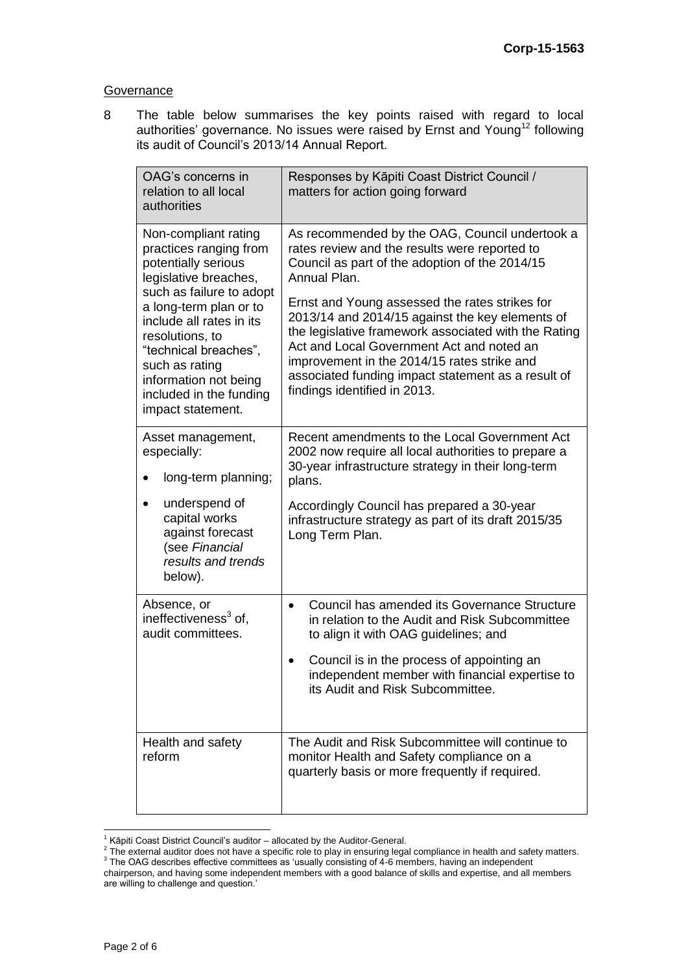#### **Governance**

8 The table below summarises the key points raised with regard to local authorities' governance. No issues were raised by Ernst and Young<sup>12</sup> following its audit of Council's 2013/14 Annual Report.

| OAG's concerns in<br>relation to all local<br>authorities                                                                                                                                                                                                                                                               | Responses by Kāpiti Coast District Council /<br>matters for action going forward                                                                                                                                                                                                                                                                                                                                                                                                                                 |
|-------------------------------------------------------------------------------------------------------------------------------------------------------------------------------------------------------------------------------------------------------------------------------------------------------------------------|------------------------------------------------------------------------------------------------------------------------------------------------------------------------------------------------------------------------------------------------------------------------------------------------------------------------------------------------------------------------------------------------------------------------------------------------------------------------------------------------------------------|
| Non-compliant rating<br>practices ranging from<br>potentially serious<br>legislative breaches,<br>such as failure to adopt<br>a long-term plan or to<br>include all rates in its<br>resolutions, to<br>"technical breaches",<br>such as rating<br>information not being<br>included in the funding<br>impact statement. | As recommended by the OAG, Council undertook a<br>rates review and the results were reported to<br>Council as part of the adoption of the 2014/15<br>Annual Plan.<br>Ernst and Young assessed the rates strikes for<br>2013/14 and 2014/15 against the key elements of<br>the legislative framework associated with the Rating<br>Act and Local Government Act and noted an<br>improvement in the 2014/15 rates strike and<br>associated funding impact statement as a result of<br>findings identified in 2013. |
| Asset management,<br>especially:<br>long-term planning;<br>underspend of<br>capital works<br>against forecast<br>(see Financial<br>results and trends<br>below).                                                                                                                                                        | Recent amendments to the Local Government Act<br>2002 now require all local authorities to prepare a<br>30-year infrastructure strategy in their long-term<br>plans.<br>Accordingly Council has prepared a 30-year<br>infrastructure strategy as part of its draft 2015/35<br>Long Term Plan.                                                                                                                                                                                                                    |
| Absence, or<br>ineffectiveness <sup>3</sup> of,<br>audit committees.                                                                                                                                                                                                                                                    | Council has amended its Governance Structure<br>٠<br>in relation to the Audit and Risk Subcommittee<br>to align it with OAG guidelines; and<br>Council is in the process of appointing an<br>$\bullet$<br>independent member with financial expertise to<br>its Audit and Risk Subcommittee.                                                                                                                                                                                                                     |
| Health and safety<br>reform                                                                                                                                                                                                                                                                                             | The Audit and Risk Subcommittee will continue to<br>monitor Health and Safety compliance on a<br>quarterly basis or more frequently if required.                                                                                                                                                                                                                                                                                                                                                                 |

<sup>&</sup>lt;sup>1</sup> Kāpiti Coast District Council's auditor – allocated by the Auditor-General.<br><sup>2</sup> The external auditor does not have a specific role to play in ensuring legal compliance in health and safety matters. <sup>3</sup> The OAG describes effective committees as 'usually consisting of 4-6 members, having an independent

chairperson, and having some independent members with a good balance of skills and expertise, and all members are willing to challenge and question.'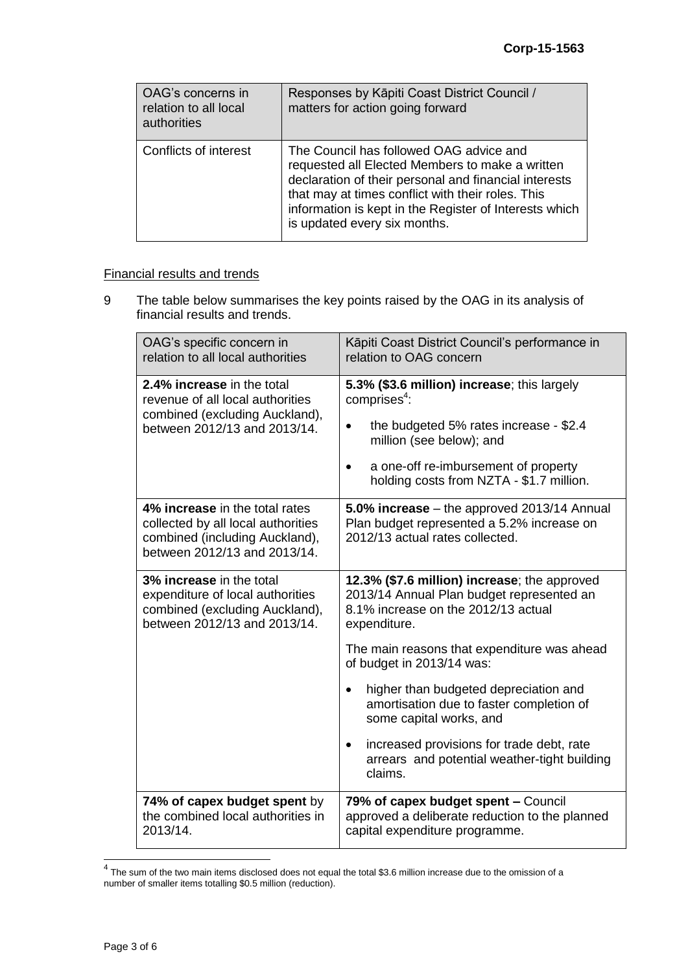| OAG's concerns in<br>relation to all local<br>authorities | Responses by Kāpiti Coast District Council /<br>matters for action going forward                                                                                                                                                                                                                   |
|-----------------------------------------------------------|----------------------------------------------------------------------------------------------------------------------------------------------------------------------------------------------------------------------------------------------------------------------------------------------------|
| Conflicts of interest                                     | The Council has followed OAG advice and<br>requested all Elected Members to make a written<br>declaration of their personal and financial interests<br>that may at times conflict with their roles. This<br>information is kept in the Register of Interests which<br>is updated every six months. |

### Financial results and trends

9 The table below summarises the key points raised by the OAG in its analysis of financial results and trends.

| OAG's specific concern in<br>relation to all local authorities                                                                         | Kāpiti Coast District Council's performance in<br>relation to OAG concern                                                                                                                                                                                                                                                                                                                                                                 |  |
|----------------------------------------------------------------------------------------------------------------------------------------|-------------------------------------------------------------------------------------------------------------------------------------------------------------------------------------------------------------------------------------------------------------------------------------------------------------------------------------------------------------------------------------------------------------------------------------------|--|
| 2.4% increase in the total<br>revenue of all local authorities<br>combined (excluding Auckland),<br>between 2012/13 and 2013/14.       | 5.3% (\$3.6 million) increase; this largely<br>comprises $4$ :<br>the budgeted 5% rates increase - \$2.4<br>$\bullet$<br>million (see below); and<br>a one-off re-imbursement of property<br>holding costs from NZTA - \$1.7 million.                                                                                                                                                                                                     |  |
| 4% increase in the total rates<br>collected by all local authorities<br>combined (including Auckland),<br>between 2012/13 and 2013/14. | 5.0% increase – the approved 2013/14 Annual<br>Plan budget represented a 5.2% increase on<br>2012/13 actual rates collected.                                                                                                                                                                                                                                                                                                              |  |
| 3% increase in the total<br>expenditure of local authorities<br>combined (excluding Auckland),<br>between 2012/13 and 2013/14.         | 12.3% (\$7.6 million) increase; the approved<br>2013/14 Annual Plan budget represented an<br>8.1% increase on the 2012/13 actual<br>expenditure.<br>The main reasons that expenditure was ahead<br>of budget in 2013/14 was:<br>higher than budgeted depreciation and<br>amortisation due to faster completion of<br>some capital works, and<br>increased provisions for trade debt, rate<br>arrears and potential weather-tight building |  |
|                                                                                                                                        | claims.                                                                                                                                                                                                                                                                                                                                                                                                                                   |  |
| 74% of capex budget spent by<br>the combined local authorities in<br>2013/14.                                                          | 79% of capex budget spent - Council<br>approved a deliberate reduction to the planned<br>capital expenditure programme.                                                                                                                                                                                                                                                                                                                   |  |

 4 The sum of the two main items disclosed does not equal the total \$3.6 million increase due to the omission of a number of smaller items totalling \$0.5 million (reduction).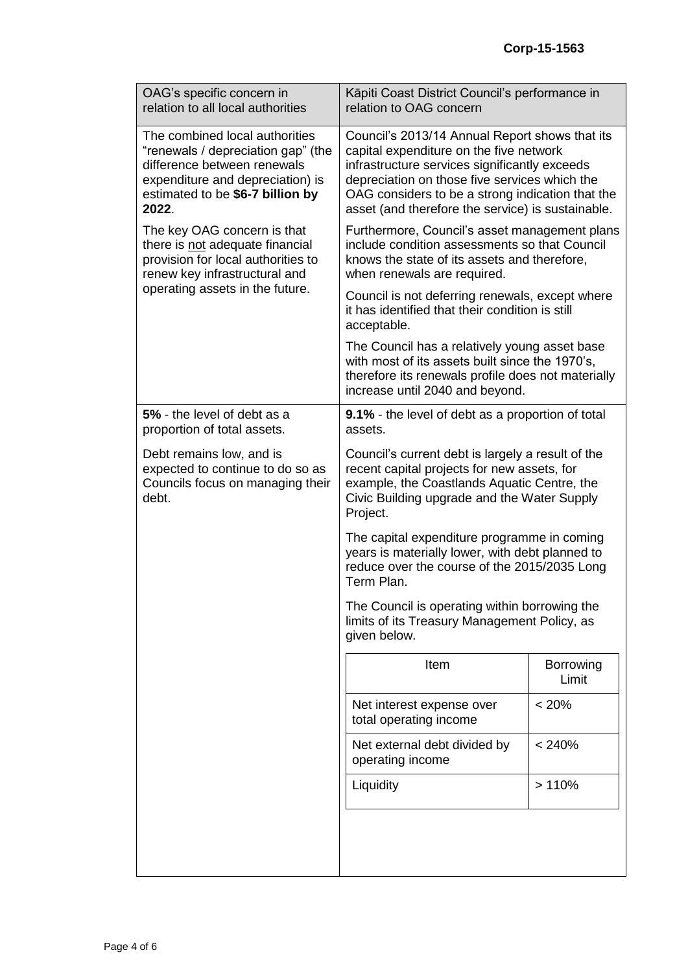| OAG's specific concern in<br>relation to all local authorities                                                                                                                       | Kāpiti Coast District Council's performance in<br>relation to OAG concern                                                                                                                                                                                                                            |                           |  |
|--------------------------------------------------------------------------------------------------------------------------------------------------------------------------------------|------------------------------------------------------------------------------------------------------------------------------------------------------------------------------------------------------------------------------------------------------------------------------------------------------|---------------------------|--|
| The combined local authorities<br>"renewals / depreciation gap" (the<br>difference between renewals<br>expenditure and depreciation) is<br>estimated to be \$6-7 billion by<br>2022. | Council's 2013/14 Annual Report shows that its<br>capital expenditure on the five network<br>infrastructure services significantly exceeds<br>depreciation on those five services which the<br>OAG considers to be a strong indication that the<br>asset (and therefore the service) is sustainable. |                           |  |
| The key OAG concern is that<br>there is not adequate financial<br>provision for local authorities to<br>renew key infrastructural and                                                | Furthermore, Council's asset management plans<br>include condition assessments so that Council<br>knows the state of its assets and therefore,<br>when renewals are required.                                                                                                                        |                           |  |
| operating assets in the future.                                                                                                                                                      | Council is not deferring renewals, except where<br>it has identified that their condition is still<br>acceptable.                                                                                                                                                                                    |                           |  |
|                                                                                                                                                                                      | The Council has a relatively young asset base<br>with most of its assets built since the 1970's,<br>therefore its renewals profile does not materially<br>increase until 2040 and beyond.                                                                                                            |                           |  |
| 5% - the level of debt as a<br>proportion of total assets.                                                                                                                           | <b>9.1%</b> - the level of debt as a proportion of total<br>assets.                                                                                                                                                                                                                                  |                           |  |
| Debt remains low, and is<br>expected to continue to do so as<br>Councils focus on managing their<br>debt.                                                                            | Council's current debt is largely a result of the<br>recent capital projects for new assets, for<br>example, the Coastlands Aquatic Centre, the<br>Civic Building upgrade and the Water Supply<br>Project.                                                                                           |                           |  |
|                                                                                                                                                                                      | The capital expenditure programme in coming<br>years is materially lower, with debt planned to<br>reduce over the course of the 2015/2035 Long<br>Term Plan.                                                                                                                                         |                           |  |
|                                                                                                                                                                                      | The Council is operating within borrowing the<br>limits of its Treasury Management Policy, as<br>given below.                                                                                                                                                                                        |                           |  |
|                                                                                                                                                                                      | Item                                                                                                                                                                                                                                                                                                 | <b>Borrowing</b><br>Limit |  |
|                                                                                                                                                                                      | Net interest expense over<br>total operating income                                                                                                                                                                                                                                                  | < 20%                     |  |
|                                                                                                                                                                                      | Net external debt divided by<br>operating income                                                                                                                                                                                                                                                     | < 240%                    |  |
|                                                                                                                                                                                      | Liquidity                                                                                                                                                                                                                                                                                            | >110%                     |  |
|                                                                                                                                                                                      |                                                                                                                                                                                                                                                                                                      |                           |  |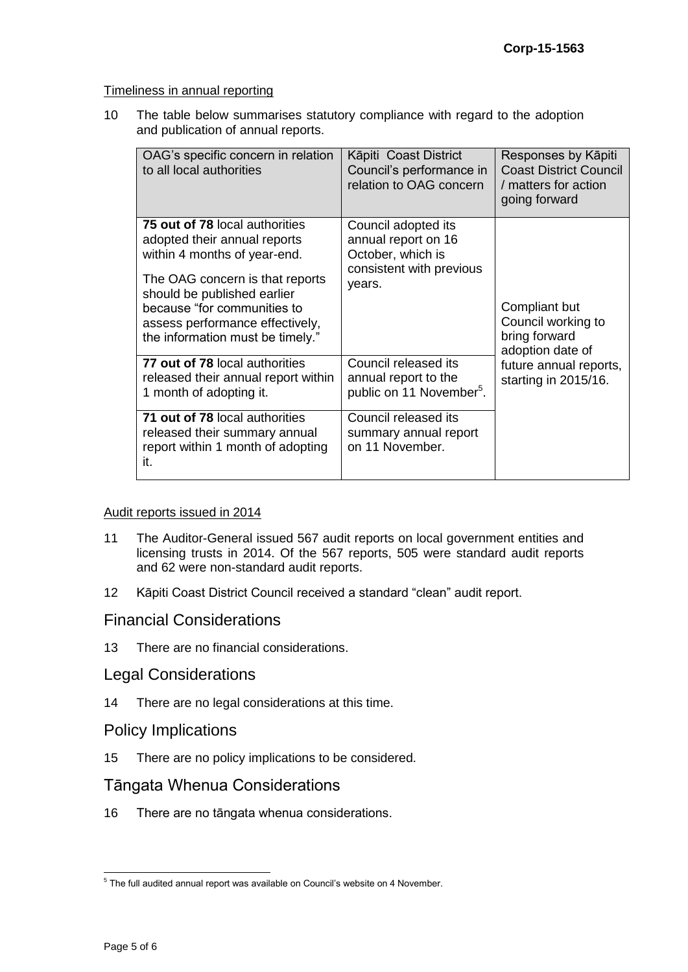Timeliness in annual reporting

10 The table below summarises statutory compliance with regard to the adoption and publication of annual reports.

| OAG's specific concern in relation<br>to all local authorities                                                                                                                                                                                                                | Kāpiti Coast District<br>Council's performance in<br>relation to OAG concern                          | Responses by Kāpiti<br><b>Coast District Council</b><br>/ matters for action<br>going forward |  |
|-------------------------------------------------------------------------------------------------------------------------------------------------------------------------------------------------------------------------------------------------------------------------------|-------------------------------------------------------------------------------------------------------|-----------------------------------------------------------------------------------------------|--|
| <b>75 out of 78 local authorities</b><br>adopted their annual reports<br>within 4 months of year-end.<br>The OAG concern is that reports<br>should be published earlier<br>because "for communities to<br>assess performance effectively,<br>the information must be timely." | Council adopted its<br>annual report on 16<br>October, which is<br>consistent with previous<br>years. | Compliant but<br>Council working to<br>bring forward<br>adoption date of                      |  |
| 77 out of 78 local authorities<br>released their annual report within<br>1 month of adopting it.                                                                                                                                                                              | Council released its<br>annual report to the<br>public on 11 November <sup>5</sup> .                  | future annual reports,<br>starting in 2015/16.                                                |  |
| 71 out of 78 local authorities<br>released their summary annual<br>report within 1 month of adopting<br>it.                                                                                                                                                                   | Council released its<br>summary annual report<br>on 11 November.                                      |                                                                                               |  |

#### Audit reports issued in 2014

- 11 The Auditor-General issued 567 audit reports on local government entities and licensing trusts in 2014. Of the 567 reports, 505 were standard audit reports and 62 were non-standard audit reports.
- 12 Kāpiti Coast District Council received a standard "clean" audit report.

## Financial Considerations

13 There are no financial considerations.

## Legal Considerations

14 There are no legal considerations at this time.

### Policy Implications

15 There are no policy implications to be considered.

## Tāngata Whenua Considerations

16 There are no tāngata whenua considerations.

 5 The full audited annual report was available on Council's website on 4 November.